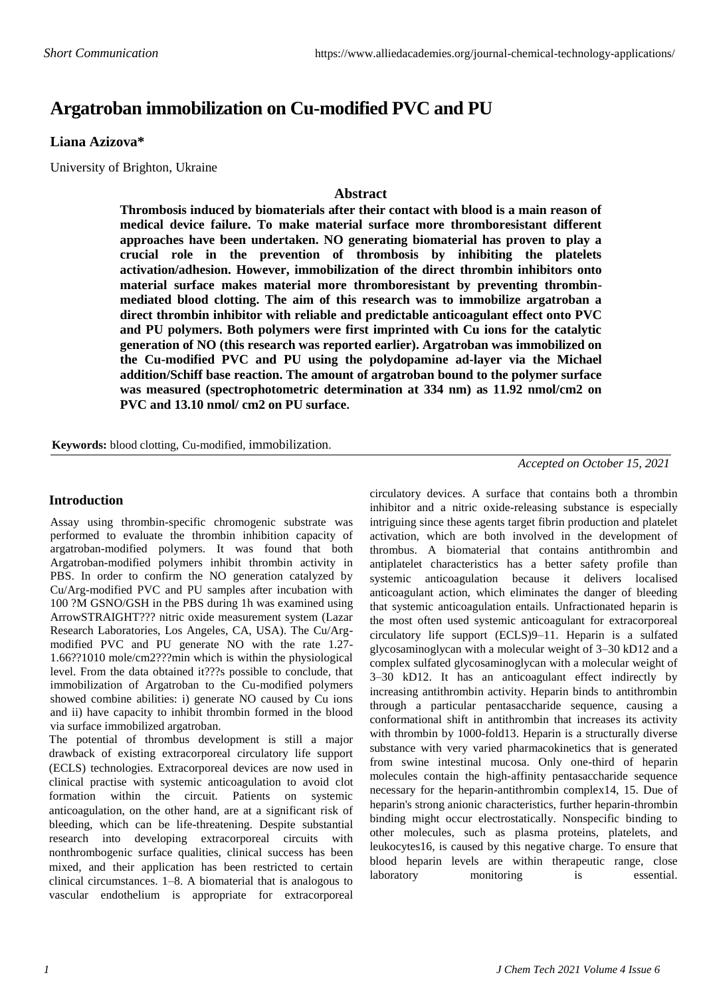# **Argatroban immobilization on Cu-modified PVC and PU**

## **Liana Azizova\***

University of Brighton, Ukraine

### **Abstract**

**Thrombosis induced by biomaterials after their contact with blood is a main reason of medical device failure. To make material surface more thromboresistant different approaches have been undertaken. NO generating biomaterial has proven to play a crucial role in the prevention of thrombosis by inhibiting the platelets activation/adhesion. However, immobilization of the direct thrombin inhibitors onto material surface makes material more thromboresistant by preventing thrombinmediated blood clotting. The aim of this research was to immobilize argatroban a direct thrombin inhibitor with reliable and predictable anticoagulant effect onto PVC and PU polymers. Both polymers were first imprinted with Cu ions for the catalytic generation of NO (this research was reported earlier). Argatroban was immobilized on the Cu-modified PVC and PU using the polydopamine ad-layer via the Michael addition/Schiff base reaction. The amount of argatroban bound to the polymer surface was measured (spectrophotometric determination at 334 nm) as 11.92 nmol/cm2 on PVC and 13.10 nmol/ cm2 on PU surface.**

**Keywords:** blood clotting, Cu-modified, immobilization.

*Accepted on October 15, 2021*

circulatory devices. A surface that contains both a thrombin inhibitor and a nitric oxide-releasing substance is especially intriguing since these agents target fibrin production and platelet activation, which are both involved in the development of thrombus. A biomaterial that contains antithrombin and antiplatelet characteristics has a better safety profile than systemic anticoagulation because it delivers localised anticoagulant action, which eliminates the danger of bleeding that systemic anticoagulation entails. Unfractionated heparin is the most often used systemic anticoagulant for extracorporeal circulatory life support (ECLS)9–11. Heparin is a sulfated glycosaminoglycan with a molecular weight of 3–30 kD12 and a complex sulfated glycosaminoglycan with a molecular weight of 3–30 kD12. It has an anticoagulant effect indirectly by increasing antithrombin activity. Heparin binds to antithrombin through a particular pentasaccharide sequence, causing a conformational shift in antithrombin that increases its activity with thrombin by 1000-fold13. Heparin is a structurally diverse substance with very varied pharmacokinetics that is generated from swine intestinal mucosa. Only one-third of heparin molecules contain the high-affinity pentasaccharide sequence necessary for the heparin-antithrombin complex14, 15. Due of heparin's strong anionic characteristics, further heparin-thrombin binding might occur electrostatically. Nonspecific binding to other molecules, such as plasma proteins, platelets, and leukocytes16, is caused by this negative charge. To ensure that blood heparin levels are within therapeutic range, close laboratory monitoring is essential.

#### **Introduction**

Assay using thrombin-specific chromogenic substrate was performed to evaluate the thrombin inhibition capacity of argatroban-modified polymers. It was found that both Argatroban-modified polymers inhibit thrombin activity in PBS. In order to confirm the NO generation catalyzed by Cu/Arg-modified PVC and PU samples after incubation with 100 ?M GSNO/GSH in the PBS during 1h was examined using ArrowSTRAIGHT??? nitric oxide measurement system (Lazar Research Laboratories, Los Angeles, CA, USA). The Cu/Argmodified PVC and PU generate NO with the rate 1.27- 1.66??1010 mole/cm2???min which is within the physiological level. From the data obtained it???s possible to conclude, that immobilization of Argatroban to the Cu-modified polymers showed combine abilities: i) generate NO caused by Cu ions and ii) have capacity to inhibit thrombin formed in the blood via surface immobilized argatroban.

The potential of thrombus development is still a major drawback of existing extracorporeal circulatory life support (ECLS) technologies. Extracorporeal devices are now used in clinical practise with systemic anticoagulation to avoid clot formation within the circuit. Patients on systemic anticoagulation, on the other hand, are at a significant risk of bleeding, which can be life-threatening. Despite substantial research into developing extracorporeal circuits with nonthrombogenic surface qualities, clinical success has been mixed, and their application has been restricted to certain clinical circumstances. 1–8. A biomaterial that is analogous to vascular endothelium is appropriate for extracorporeal